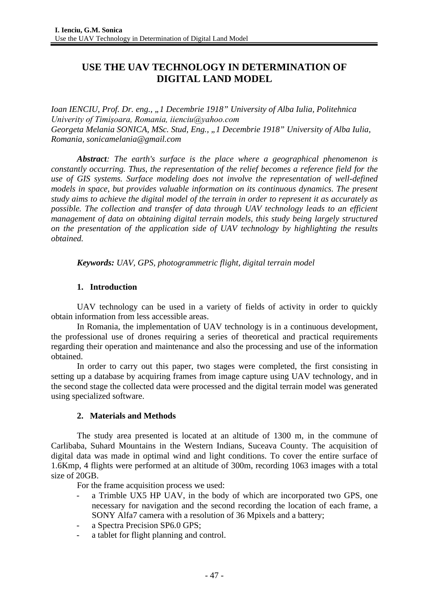# **USE THE UAV TECHNOLOGY IN DETERMINATION OF DIGITAL LAND MODEL**

*Ioan IENCIU, Prof. Dr. eng., "1 Decembrie 1918" University of Alba Iulia, Politehnica Univerity of Timișoara, Romania, iienciu@yahoo.com Georgeta Melania SONICA, MSc. Stud, Eng., "1 Decembrie 1918" University of Alba Iulia, Romania, sonicamelania@gmail.com*

*Abstract: The earth's surface is the place where a geographical phenomenon is constantly occurring. Thus, the representation of the relief becomes a reference field for the use of GIS systems. Surface modeling does not involve the representation of well-defined models in space, but provides valuable information on its continuous dynamics. The present study aims to achieve the digital model of the terrain in order to represent it as accurately as possible. The collection and transfer of data through UAV technology leads to an efficient management of data on obtaining digital terrain models, this study being largely structured on the presentation of the application side of UAV technology by highlighting the results obtained.*

*Keywords: UAV, GPS, photogrammetric flight, digital terrain model*

### **1. Introduction**

UAV technology can be used in a variety of fields of activity in order to quickly obtain information from less accessible areas.

In Romania, the implementation of UAV technology is in a continuous development, the professional use of drones requiring a series of theoretical and practical requirements regarding their operation and maintenance and also the processing and use of the information obtained.

In order to carry out this paper, two stages were completed, the first consisting in setting up a database by acquiring frames from image capture using UAV technology, and in the second stage the collected data were processed and the digital terrain model was generated using specialized software.

### **2. Materials and Methods**

The study area presented is located at an altitude of 1300 m, in the commune of Carlibaba, Suhard Mountains in the Western Indians, Suceava County. The acquisition of digital data was made in optimal wind and light conditions. To cover the entire surface of 1.6Kmp, 4 flights were performed at an altitude of 300m, recording 1063 images with a total size of 20GB.

For the frame acquisition process we used:

- a Trimble UX5 HP UAV, in the body of which are incorporated two GPS, one necessary for navigation and the second recording the location of each frame, a SONY Alfa7 camera with a resolution of 36 Mpixels and a battery;
- a Spectra Precision SP6.0 GPS;
- a tablet for flight planning and control.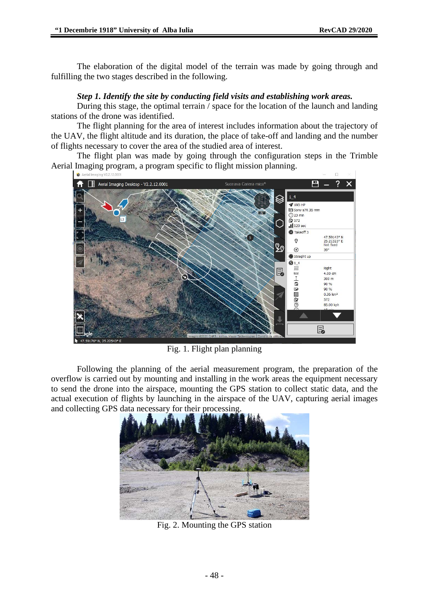The elaboration of the digital model of the terrain was made by going through and fulfilling the two stages described in the following.

### *Step 1. Identify the site by conducting field visits and establishing work areas.*

During this stage, the optimal terrain / space for the location of the launch and landing stations of the drone was identified.

The flight planning for the area of interest includes information about the trajectory of the UAV, the flight altitude and its duration, the place of take-off and landing and the number of flights necessary to cover the area of the studied area of interest.

The flight plan was made by going through the configuration steps in the Trimble Aerial Imaging program, a program specific to flight mission planning.



Fig. 1. Flight plan planning

Following the planning of the aerial measurement program, the preparation of the overflow is carried out by mounting and installing in the work areas the equipment necessary to send the drone into the airspace, mounting the GPS station to collect static data, and the actual execution of flights by launching in the airspace of the UAV, capturing aerial images and collecting GPS data necessary for their processing.



Fig. 2. Mounting the GPS station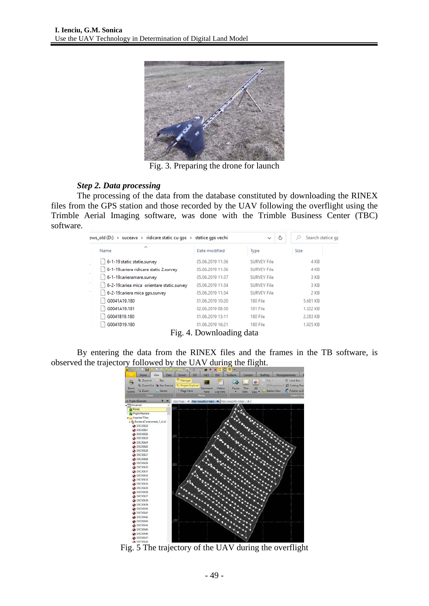

Fig. 3. Preparing the drone for launch

#### *Step 2. Data processing*

The processing of the data from the database constituted by downloading the RINEX files from the GPS station and those recorded by the UAV following the overflight using the Trimble Aerial Imaging software, was done with the Trimble Business Center (TBC) software.

| ows_old (D:) > suceava > ridicare static cu qps > statice qps vechi |                  | Ō<br>$\checkmark$  | Search statice gp<br>D |
|---------------------------------------------------------------------|------------------|--------------------|------------------------|
| $\wedge$<br>Name                                                    | Date modified    | Type               | Size                   |
| 6-1-19 static statie.survey                                         | 05.06.2019 11:36 | <b>SURVEY File</b> | 4 KB                   |
| 6-1-19 cariera ridicare static 2.survey                             | 05.06.2019 11:36 | <b>SURVEY File</b> | 4 KB                   |
| 6-1-19carieramare.survey                                            | 05.06.2019 11:37 | <b>SURVEY File</b> | 3 KB                   |
| 6-2-19 cariea mica orientare static.survey                          | 05.06.2019 11:34 | <b>SURVEY File</b> | 3 KB                   |
| 6-2-19 cariera mica gps.survey                                      | 05.06.2019 11:34 | <b>SURVEY File</b> | 2 KB                   |
| G0041A19.180                                                        | 01.06.2019 10:20 | 180 File           | 5.681 KB               |
| G0041A19.181                                                        | 02.06.2019 08:50 | 181 File           | 1.322 KB               |
| G0041B19.180                                                        | 01.06.2019 13:11 | 180 File           | 2.283 KB               |
| G0041D19.180                                                        | 01.06.2019 16:21 | 180 File           | 1.025 KB               |

Fig. 4. Downloading data

By entering the data from the RINEX files and the frames in the TB software, is observed the trajectory followed by the UAV during the flight.



Fig. 5 The trajectory of the UAV during the overflight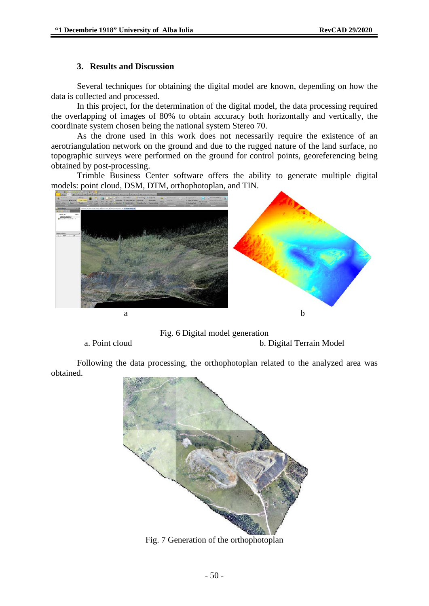#### **3. Results and Discussion**

Several techniques for obtaining the digital model are known, depending on how the data is collected and processed.

In this project, for the determination of the digital model, the data processing required the overlapping of images of 80% to obtain accuracy both horizontally and vertically, the coordinate system chosen being the national system Stereo 70.

As the drone used in this work does not necessarily require the existence of an aerotriangulation network on the ground and due to the rugged nature of the land surface, no topographic surveys were performed on the ground for control points, georeferencing being obtained by post-processing.

Trimble Business Center software offers the ability to generate multiple digital models: point cloud, DSM, DTM, orthophotoplan, and TIN.



Fig. 6 Digital model generation

a. Point cloud b. Digital Terrain Model

Following the data processing, the orthophotoplan related to the analyzed area was obtained.



Fig. 7 Generation of the orthophotoplan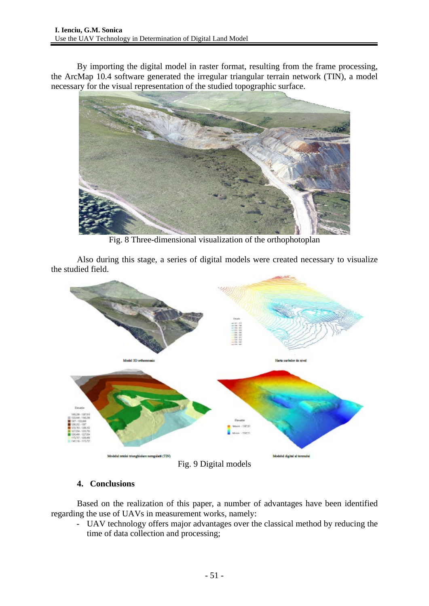By importing the digital model in raster format, resulting from the frame processing, the ArcMap 10.4 software generated the irregular triangular terrain network (TIN), a model necessary for the visual representation of the studied topographic surface.



Fig. 8 Three-dimensional visualization of the orthophotoplan

Also during this stage, a series of digital models were created necessary to visualize the studied field.



## **4. Conclusions**

Based on the realization of this paper, a number of advantages have been identified regarding the use of UAVs in measurement works, namely:

- UAV technology offers major advantages over the classical method by reducing the time of data collection and processing;